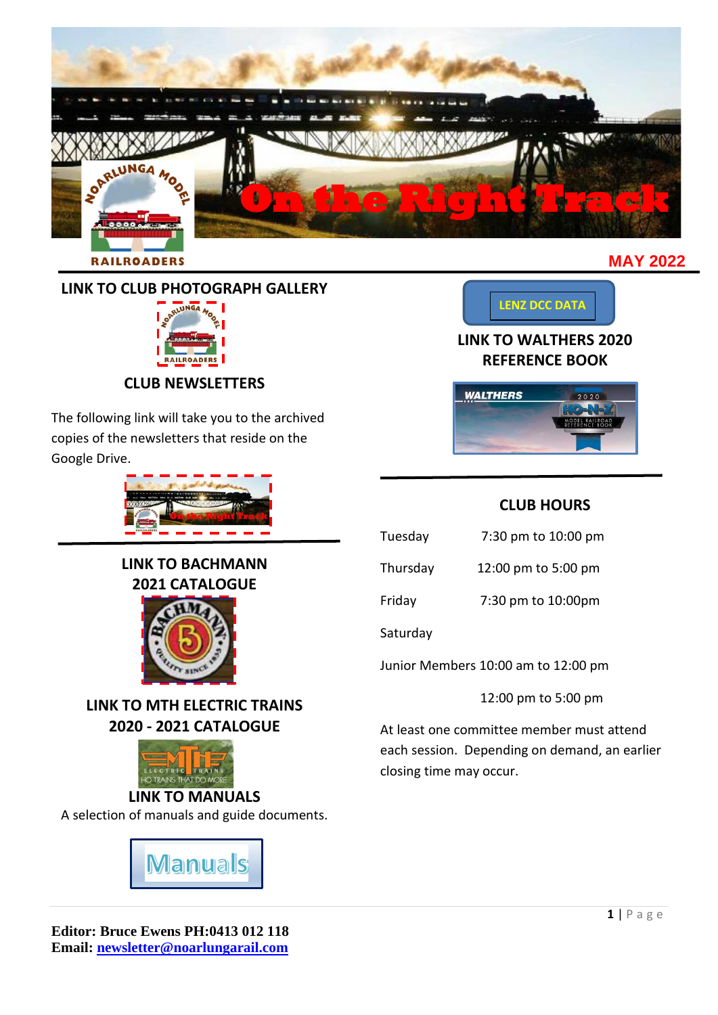

# **LINK TO CLUB PHOTOGRAPH GALLERY**



**CLUB NEWSLETTERS**

The following link will take you to the archived copies of the newsletters that reside on the Google Drive.



**LINK TO BACHMANN 2021 CATALOGUE**



**LINK TO MTH ELECTRIC TRAINS 2020 - 2021 CATALOGUE**



A selection of manuals and guide documents.



**[LENZ DCC DATA](https://drive.google.com/drive/folders/1u9v7CXyHpvrsqn6Bm_eBT7HZT_sO1UdB?usp=sharing)**

# **LINK TO WALTHERS 2020 REFERENCE BOOK**



# **CLUB HOURS**

| Tuesday  | 7:30 pm to 10:00 pm |
|----------|---------------------|
| Thursday | 12:00 pm to 5:00 pm |
| Friday   | 7:30 pm to 10:00pm  |

Saturday

Junior Members 10:00 am to 12:00 pm

12:00 pm to 5:00 pm

At least one committee member must attend each session. Depending on demand, an earlier closing time may occur.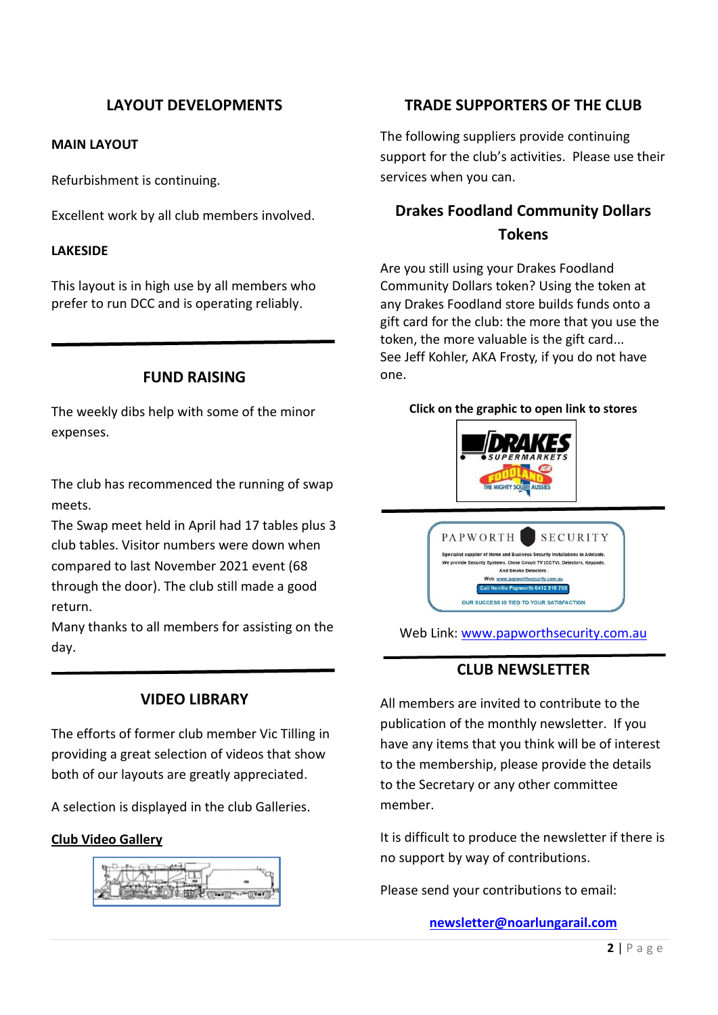# **LAYOUT DEVELOPMENTS**

#### **MAIN LAYOUT**

Refurbishment is continuing.

Excellent work by all club members involved.

#### **LAKESIDE**

This layout is in high use by all members who prefer to run DCC and is operating reliably.

#### **FUND RAISING**

The weekly dibs help with some of the minor expenses.

The club has recommenced the running of swap meets.

The Swap meet held in April had 17 tables plus 3 club tables. Visitor numbers were down when compared to last November 2021 event (68 through the door). The club still made a good return.

Many thanks to all members for assisting on the day.

## **VIDEO LIBRARY**

The efforts of former club member Vic Tilling in providing a great selection of videos that show both of our layouts are greatly appreciated.

A selection is displayed in the club Galleries.

#### **[Club Video Gallery](https://drive.google.com/drive/folders/10rH1JelGGcOT_fGFMvqKpbx3SKm1DQQj?usp=sharing)**



### **TRADE SUPPORTERS OF THE CLUB**

The following suppliers provide continuing support for the club's activities. Please use their services when you can.

# **Drakes Foodland Community Dollars Tokens**

Are you still using your Drakes Foodland Community Dollars token? Using the token at any Drakes Foodland store builds funds onto a gift card for the club: the more that you use the token, the more valuable is the gift card... See Jeff Kohler, AKA Frosty, if you do not have one.

#### **Click on the graphic to open link to stores**





Web Link: [www.papworthsecurity.com.au](http://www.papworthsecurity.com.au/)

## **CLUB NEWSLETTER**

All members are invited to contribute to the publication of the monthly newsletter. If you have any items that you think will be of interest to the membership, please provide the details to the Secretary or any other committee member.

It is difficult to produce the newsletter if there is no support by way of contributions.

Please send your contributions to email:

#### **[newsletter@noarlungarail.com](mailto:newsletter@noarlungarail.com)**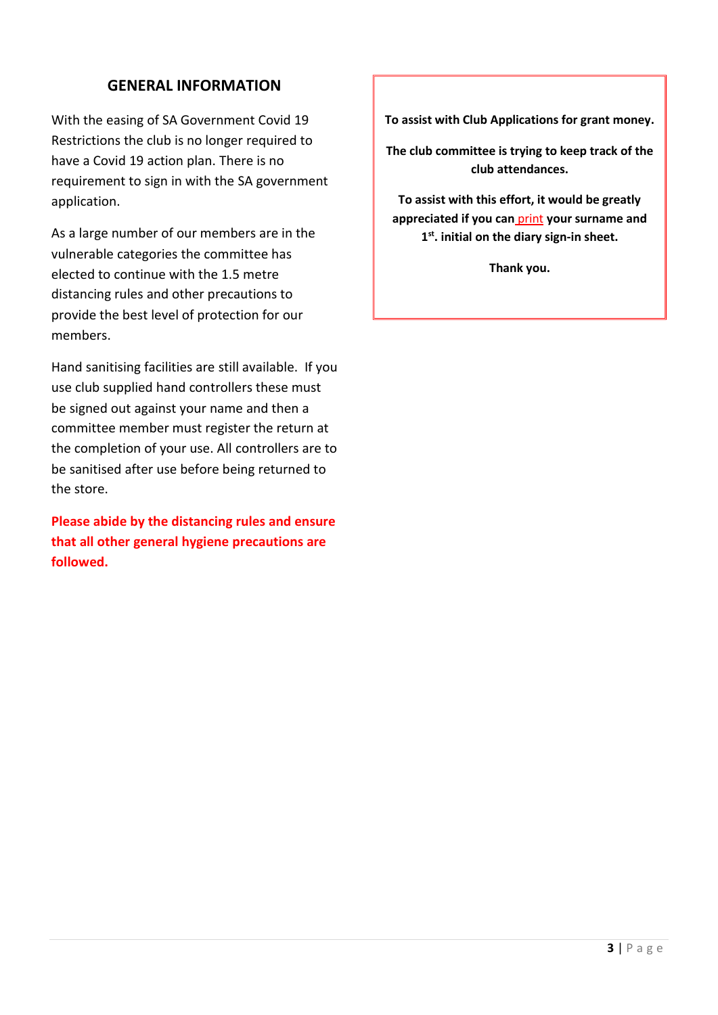## **GENERAL INFORMATION**

With the easing of SA Government Covid 19 Restrictions the club is no longer required to have a Covid 19 action plan. There is no requirement to sign in with the SA government application.

As a large number of our members are in the vulnerable categories the committee has elected to continue with the 1.5 metre distancing rules and other precautions to provide the best level of protection for our members.

Hand sanitising facilities are still available. If you use club supplied hand controllers these must be signed out against your name and then a committee member must register the return at the completion of your use. All controllers are to be sanitised after use before being returned to the store.

**Please abide by the distancing rules and ensure that all other general hygiene precautions are followed.**

**To assist with Club Applications for grant money.**

**The club committee is trying to keep track of the club attendances.**

**To assist with this effort, it would be greatly appreciated if you can** print **your surname and 1 st. initial on the diary sign-in sheet.**

**Thank you.**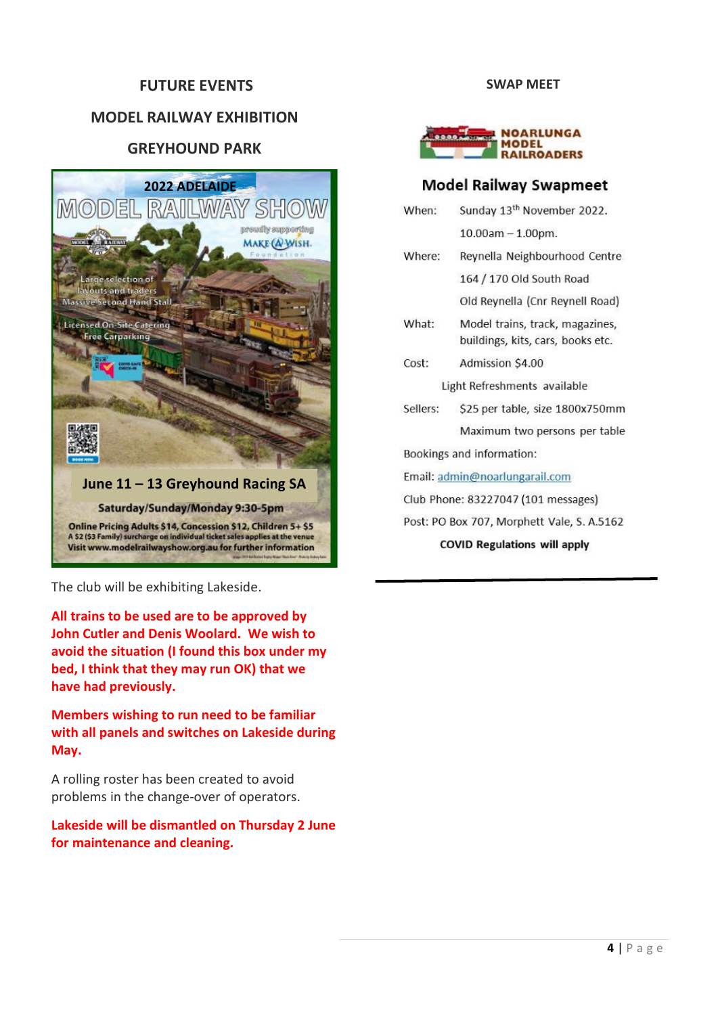#### **FUTURE EVENTS**

## **MODEL RAILWAY EXHIBITION**

## **GREYHOUND PARK**



The club will be exhibiting Lakeside.

**All trains to be used are to be approved by John Cutler and Denis Woolard. We wish to avoid the situation (I found this box under my bed, I think that they may run OK) that we have had previously.**

**Members wishing to run need to be familiar with all panels and switches on Lakeside during May.**

A rolling roster has been created to avoid problems in the change-over of operators.

**Lakeside will be dismantled on Thursday 2 June for maintenance and cleaning.**

#### **SWAP MEET**



#### **Model Railway Swapmeet**

| When:                               | Sunday 13 <sup>th</sup> November 2022.                               |  |
|-------------------------------------|----------------------------------------------------------------------|--|
|                                     | $10.00am - 1.00pm.$                                                  |  |
| Where:                              | Reynella Neighbourhood Centre                                        |  |
|                                     | 164 / 170 Old South Road                                             |  |
|                                     | Old Reynella (Cnr Reynell Road)                                      |  |
| What:                               | Model trains, track, magazines,<br>buildings, kits, cars, books etc. |  |
| Cost:                               | Admission \$4.00                                                     |  |
|                                     | Light Refreshments available                                         |  |
| Sellers:                            | \$25 per table, size 1800x750mm                                      |  |
|                                     | Maximum two persons per table                                        |  |
|                                     | Bookings and information:                                            |  |
|                                     | Email: admin@noarlungarail.com                                       |  |
|                                     | Club Phone: 83227047 (101 messages)                                  |  |
|                                     | Post: PO Box 707, Morphett Vale, S. A.5162                           |  |
| <b>COVID Regulations will apply</b> |                                                                      |  |